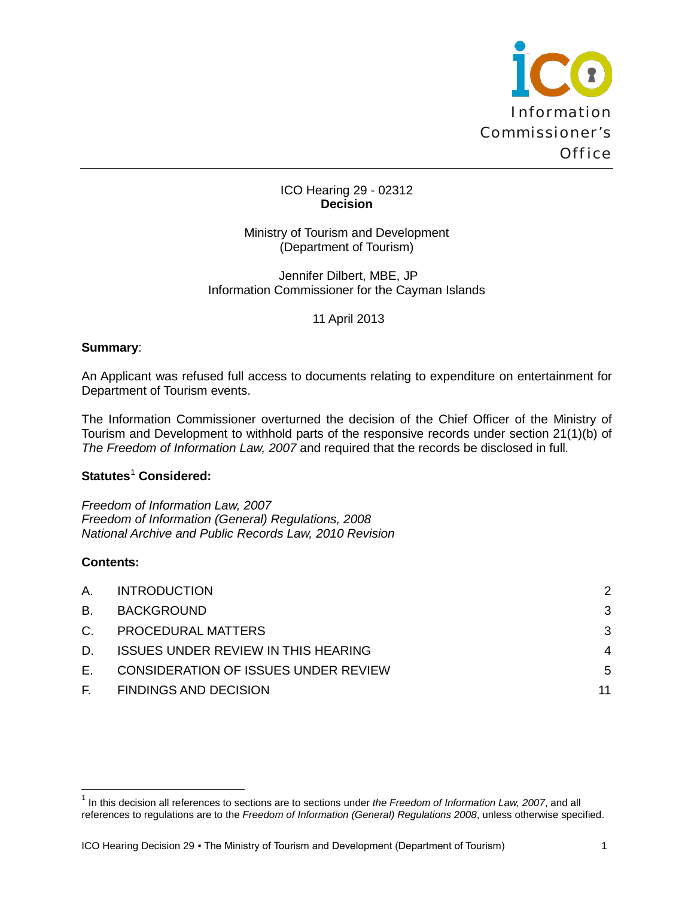

### ICO Hearing 29 - 02312 **Decision**

Ministry of Tourism and Development (Department of Tourism)

Jennifer Dilbert, MBE, JP Information Commissioner for the Cayman Islands

11 April 2013

### **Summary**:

An Applicant was refused full access to documents relating to expenditure on entertainment for Department of Tourism events.

The Information Commissioner overturned the decision of the Chief Officer of the Ministry of Tourism and Development to withhold parts of the responsive records under section 21(1)(b) of *The Freedom of Information Law, 2007* and required that the records be disclosed in full*.*

# **Statutes**[1](#page-0-0) **Considered:**

*Freedom of Information Law, 2007 Freedom of Information (General) Regulations, 2008 National Archive and Public Records Law, 2010 Revision*

# **Contents:**

 $\overline{\phantom{0}}$ 

| А. | <b>INTRODUCTION</b>                        | 2  |
|----|--------------------------------------------|----|
| B. | BACKGROUND                                 | 3  |
| C. | <b>PROCEDURAL MATTERS</b>                  | 3  |
| D. | <b>ISSUES UNDER REVIEW IN THIS HEARING</b> | 4  |
| Е. | CONSIDERATION OF ISSUES UNDER REVIEW       | 5  |
|    | F. FINDINGS AND DECISION                   | 11 |

<span id="page-0-0"></span><sup>1</sup> In this decision all references to sections are to sections under *the Freedom of Information Law, 2007*, and all references to regulations are to the *Freedom of Information (General) Regulations 2008*, unless otherwise specified.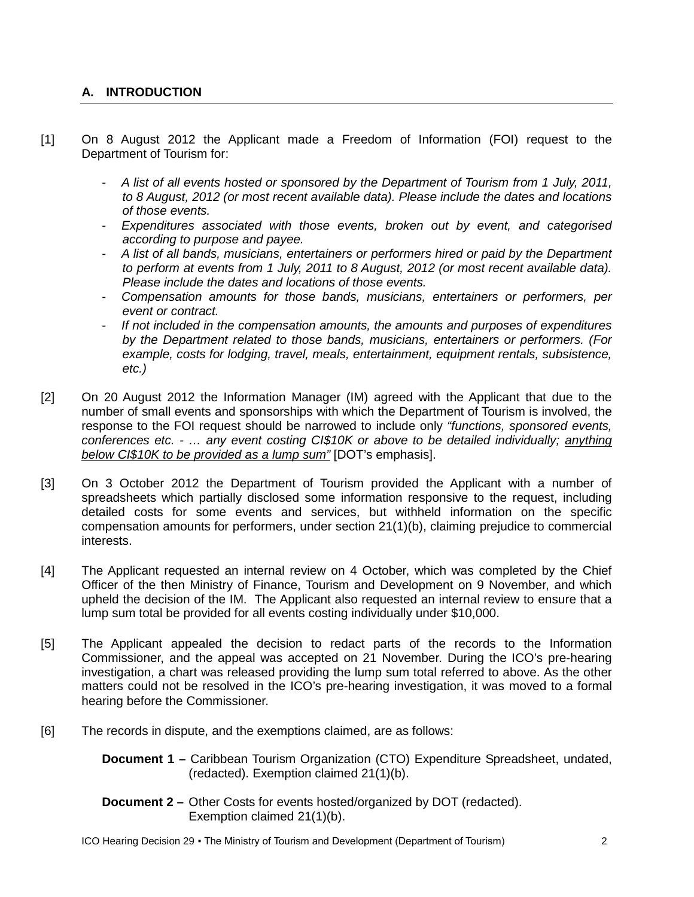# <span id="page-1-0"></span>**A. INTRODUCTION**

- [1] On 8 August 2012 the Applicant made a Freedom of Information (FOI) request to the Department of Tourism for:
	- *A list of all events hosted or sponsored by the Department of Tourism from 1 July, 2011, to 8 August, 2012 (or most recent available data). Please include the dates and locations of those events.*
	- *Expenditures associated with those events, broken out by event, and categorised according to purpose and payee.*
	- *A list of all bands, musicians, entertainers or performers hired or paid by the Department to perform at events from 1 July, 2011 to 8 August, 2012 (or most recent available data). Please include the dates and locations of those events.*
	- *Compensation amounts for those bands, musicians, entertainers or performers, per event or contract.*
	- *If not included in the compensation amounts, the amounts and purposes of expenditures by the Department related to those bands, musicians, entertainers or performers. (For example, costs for lodging, travel, meals, entertainment, equipment rentals, subsistence, etc.)*
- [2] On 20 August 2012 the Information Manager (IM) agreed with the Applicant that due to the number of small events and sponsorships with which the Department of Tourism is involved, the response to the FOI request should be narrowed to include only *"functions, sponsored events, conferences etc. - … any event costing CI\$10K or above to be detailed individually; anything below CI\$10K to be provided as a lump sum"* [DOT's emphasis].
- [3] On 3 October 2012 the Department of Tourism provided the Applicant with a number of spreadsheets which partially disclosed some information responsive to the request, including detailed costs for some events and services, but withheld information on the specific compensation amounts for performers, under section 21(1)(b), claiming prejudice to commercial interests.
- [4] The Applicant requested an internal review on 4 October, which was completed by the Chief Officer of the then Ministry of Finance, Tourism and Development on 9 November, and which upheld the decision of the IM. The Applicant also requested an internal review to ensure that a lump sum total be provided for all events costing individually under \$10,000.
- [5] The Applicant appealed the decision to redact parts of the records to the Information Commissioner, and the appeal was accepted on 21 November. During the ICO's pre-hearing investigation, a chart was released providing the lump sum total referred to above. As the other matters could not be resolved in the ICO's pre-hearing investigation, it was moved to a formal hearing before the Commissioner.
- <span id="page-1-1"></span>[6] The records in dispute, and the exemptions claimed, are as follows:
	- **Document 1 –** Caribbean Tourism Organization (CTO) Expenditure Spreadsheet, undated, (redacted). Exemption claimed 21(1)(b).
	- **Document 2 –** Other Costs for events hosted/organized by DOT (redacted). Exemption claimed 21(1)(b).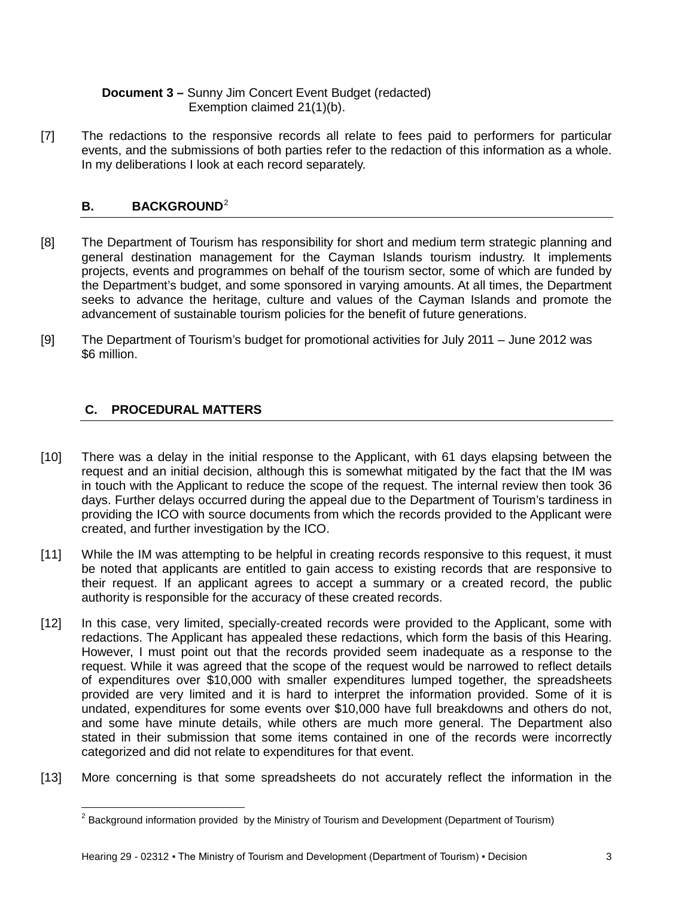# **Document 3 –** Sunny Jim Concert Event Budget (redacted) Exemption claimed 21(1)(b).

[7] The redactions to the responsive records all relate to fees paid to performers for particular events, and the submissions of both parties refer to the redaction of this information as a whole. In my deliberations I look at each record separately.

# **B.** BACKGROUND<sup>[2](#page-2-1)</sup>

- [8] The Department of Tourism has responsibility for short and medium term strategic planning and general destination management for the Cayman Islands tourism industry. It implements projects, events and programmes on behalf of the tourism sector, some of which are funded by the Department's budget, and some sponsored in varying amounts. At all times, the Department seeks to advance the heritage, culture and values of the Cayman Islands and promote the advancement of sustainable tourism policies for the benefit of future generations.
- [9] The Department of Tourism's budget for promotional activities for July 2011 June 2012 was \$6 million.

# <span id="page-2-0"></span>**C. PROCEDURAL MATTERS**

ı

- [10] There was a delay in the initial response to the Applicant, with 61 days elapsing between the request and an initial decision, although this is somewhat mitigated by the fact that the IM was in touch with the Applicant to reduce the scope of the request. The internal review then took 36 days. Further delays occurred during the appeal due to the Department of Tourism's tardiness in providing the ICO with source documents from which the records provided to the Applicant were created, and further investigation by the ICO.
- [11] While the IM was attempting to be helpful in creating records responsive to this request, it must be noted that applicants are entitled to gain access to existing records that are responsive to their request. If an applicant agrees to accept a summary or a created record, the public authority is responsible for the accuracy of these created records.
- [12] In this case, very limited, specially-created records were provided to the Applicant, some with redactions. The Applicant has appealed these redactions, which form the basis of this Hearing. However, I must point out that the records provided seem inadequate as a response to the request. While it was agreed that the scope of the request would be narrowed to reflect details of expenditures over \$10,000 with smaller expenditures lumped together, the spreadsheets provided are very limited and it is hard to interpret the information provided. Some of it is undated, expenditures for some events over \$10,000 have full breakdowns and others do not, and some have minute details, while others are much more general. The Department also stated in their submission that some items contained in one of the records were incorrectly categorized and did not relate to expenditures for that event.
- <span id="page-2-1"></span>[13] More concerning is that some spreadsheets do not accurately reflect the information in the

 $<sup>2</sup>$  Background information provided by the Ministry of Tourism and Development (Department of Tourism)</sup>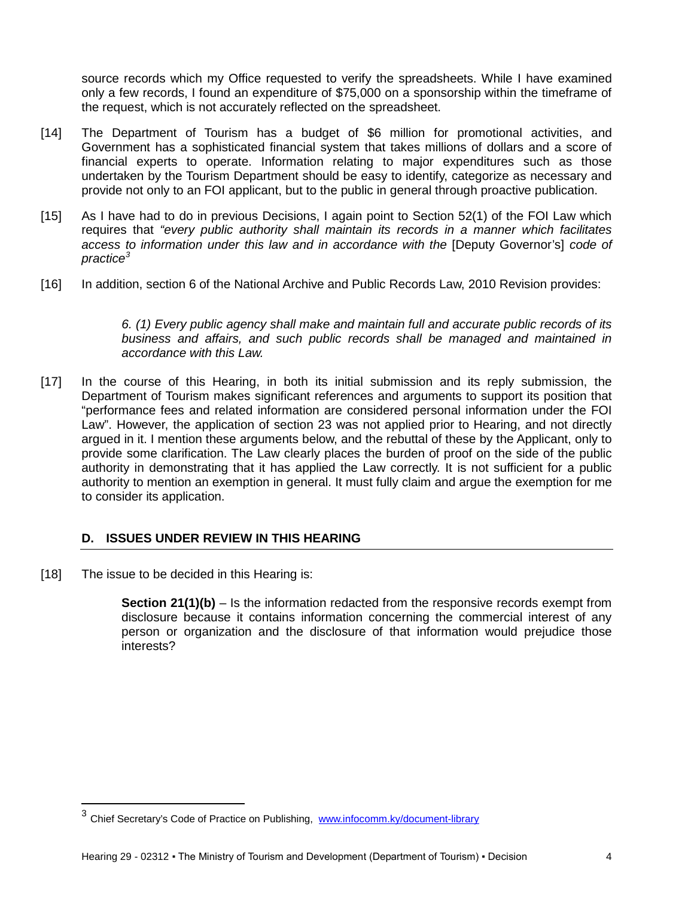source records which my Office requested to verify the spreadsheets. While I have examined only a few records, I found an expenditure of \$75,000 on a sponsorship within the timeframe of the request, which is not accurately reflected on the spreadsheet.

- [14] The Department of Tourism has a budget of \$6 million for promotional activities, and Government has a sophisticated financial system that takes millions of dollars and a score of financial experts to operate. Information relating to major expenditures such as those undertaken by the Tourism Department should be easy to identify, categorize as necessary and provide not only to an FOI applicant, but to the public in general through proactive publication.
- [15] As I have had to do in previous Decisions, I again point to Section 52(1) of the FOI Law which requires that *"every public authority shall maintain its records in a manner which facilitates access to information under this law and in accordance with the* [Deputy Governor's] *code of practice[3](#page-3-1)*
- [16] In addition, section 6 of the National Archive and Public Records Law, 2010 Revision provides:

*6. (1) Every public agency shall make and maintain full and accurate public records of its business and affairs, and such public records shall be managed and maintained in accordance with this Law.*

[17] In the course of this Hearing, in both its initial submission and its reply submission, the Department of Tourism makes significant references and arguments to support its position that "performance fees and related information are considered personal information under the FOI Law". However, the application of section 23 was not applied prior to Hearing, and not directly argued in it. I mention these arguments below, and the rebuttal of these by the Applicant, only to provide some clarification. The Law clearly places the burden of proof on the side of the public authority in demonstrating that it has applied the Law correctly. It is not sufficient for a public authority to mention an exemption in general. It must fully claim and argue the exemption for me to consider its application.

# <span id="page-3-0"></span>**D. ISSUES UNDER REVIEW IN THIS HEARING**

[18] The issue to be decided in this Hearing is:

 $\overline{\phantom{0}}$ 

**Section 21(1)(b)** – Is the information redacted from the responsive records exempt from disclosure because it contains information concerning the commercial interest of any person or organization and the disclosure of that information would prejudice those interests?

<span id="page-3-1"></span><sup>&</sup>lt;sup>3</sup> Chief Secretary's Code of Practice on Publishing, [www.infocomm.ky/document-library](http://www.infocomm.ky/document-library)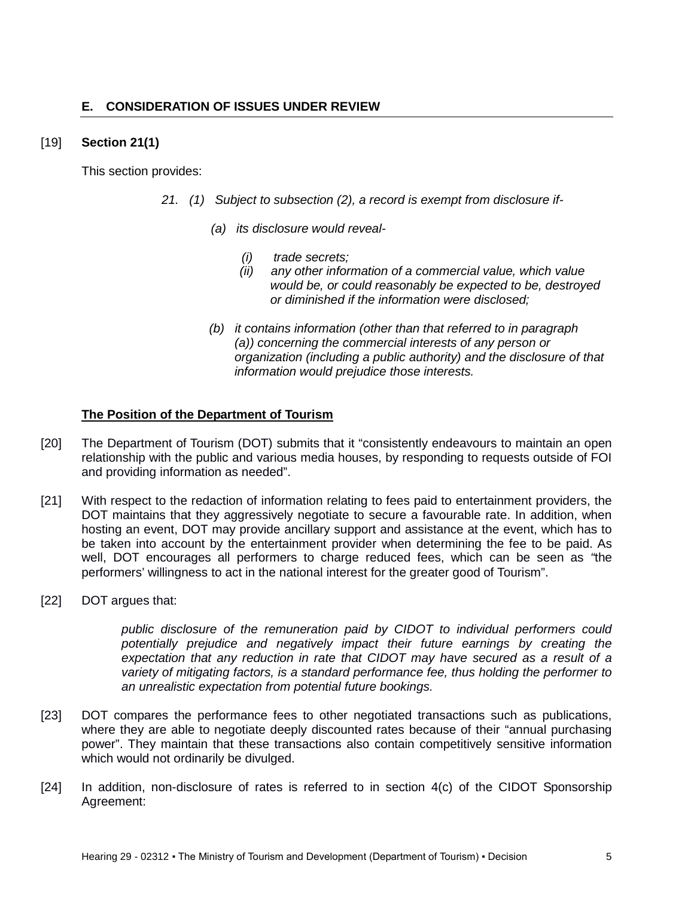# <span id="page-4-0"></span>[19] **Section 21(1)**

This section provides:

- *21. (1) Subject to subsection (2), a record is exempt from disclosure if-*
	- *(a) its disclosure would reveal-*
		- *(i) trade secrets;*
		- *(ii) any other information of a commercial value, which value would be, or could reasonably be expected to be, destroyed or diminished if the information were disclosed;*
	- *(b) it contains information (other than that referred to in paragraph (a)) concerning the commercial interests of any person or organization (including a public authority) and the disclosure of that information would prejudice those interests.*

# **The Position of the Department of Tourism**

- [20] The Department of Tourism (DOT) submits that it "consistently endeavours to maintain an open relationship with the public and various media houses, by responding to requests outside of FOI and providing information as needed".
- [21] With respect to the redaction of information relating to fees paid to entertainment providers, the DOT maintains that they aggressively negotiate to secure a favourable rate. In addition, when hosting an event, DOT may provide ancillary support and assistance at the event, which has to be taken into account by the entertainment provider when determining the fee to be paid. As well, DOT encourages all performers to charge reduced fees, which can be seen as *"*the performers' willingness to act in the national interest for the greater good of Tourism".
- [22] DOT argues that:

*public disclosure of the remuneration paid by CIDOT to individual performers could potentially prejudice and negatively impact their future earnings by creating the expectation that any reduction in rate that CIDOT may have secured as a result of a variety of mitigating factors, is a standard performance fee, thus holding the performer to an unrealistic expectation from potential future bookings.*

- [23] DOT compares the performance fees to other negotiated transactions such as publications, where they are able to negotiate deeply discounted rates because of their "annual purchasing power". They maintain that these transactions also contain competitively sensitive information which would not ordinarily be divulged.
- [24] In addition, non-disclosure of rates is referred to in section 4(c) of the CIDOT Sponsorship Agreement: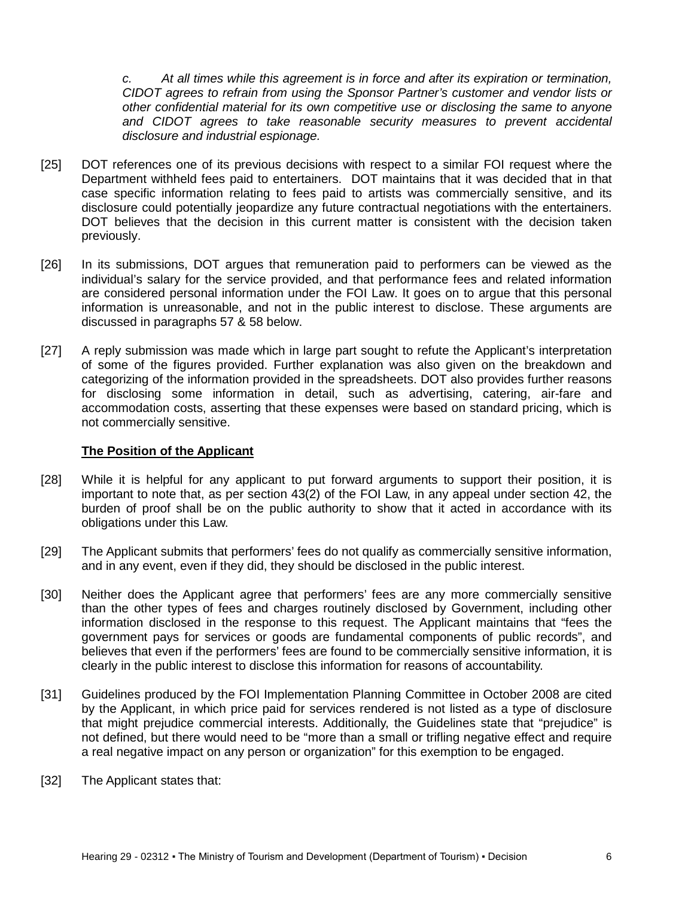*c. At all times while this agreement is in force and after its expiration or termination, CIDOT agrees to refrain from using the Sponsor Partner's customer and vendor lists or other confidential material for its own competitive use or disclosing the same to anyone and CIDOT agrees to take reasonable security measures to prevent accidental disclosure and industrial espionage.*

- [25] DOT references one of its previous decisions with respect to a similar FOI request where the Department withheld fees paid to entertainers. DOT maintains that it was decided that in that case specific information relating to fees paid to artists was commercially sensitive, and its disclosure could potentially jeopardize any future contractual negotiations with the entertainers. DOT believes that the decision in this current matter is consistent with the decision taken previously.
- [26] In its submissions, DOT argues that remuneration paid to performers can be viewed as the individual's salary for the service provided, and that performance fees and related information are considered personal information under the FOI Law. It goes on to argue that this personal information is unreasonable, and not in the public interest to disclose. These arguments are discussed in paragraphs 57 & 58 below.
- [27] A reply submission was made which in large part sought to refute the Applicant's interpretation of some of the figures provided. Further explanation was also given on the breakdown and categorizing of the information provided in the spreadsheets. DOT also provides further reasons for disclosing some information in detail, such as advertising, catering, air-fare and accommodation costs, asserting that these expenses were based on standard pricing, which is not commercially sensitive.

#### **The Position of the Applicant**

- [28] While it is helpful for any applicant to put forward arguments to support their position, it is important to note that, as per section 43(2) of the FOI Law, in any appeal under section 42, the burden of proof shall be on the public authority to show that it acted in accordance with its obligations under this Law.
- [29] The Applicant submits that performers' fees do not qualify as commercially sensitive information, and in any event, even if they did, they should be disclosed in the public interest.
- [30] Neither does the Applicant agree that performers' fees are any more commercially sensitive than the other types of fees and charges routinely disclosed by Government, including other information disclosed in the response to this request. The Applicant maintains that "fees the government pays for services or goods are fundamental components of public records", and believes that even if the performers' fees are found to be commercially sensitive information, it is clearly in the public interest to disclose this information for reasons of accountability.
- [31] Guidelines produced by the FOI Implementation Planning Committee in October 2008 are cited by the Applicant, in which price paid for services rendered is not listed as a type of disclosure that might prejudice commercial interests. Additionally, the Guidelines state that "prejudice" is not defined, but there would need to be "more than a small or trifling negative effect and require a real negative impact on any person or organization" for this exemption to be engaged.
- [32] The Applicant states that: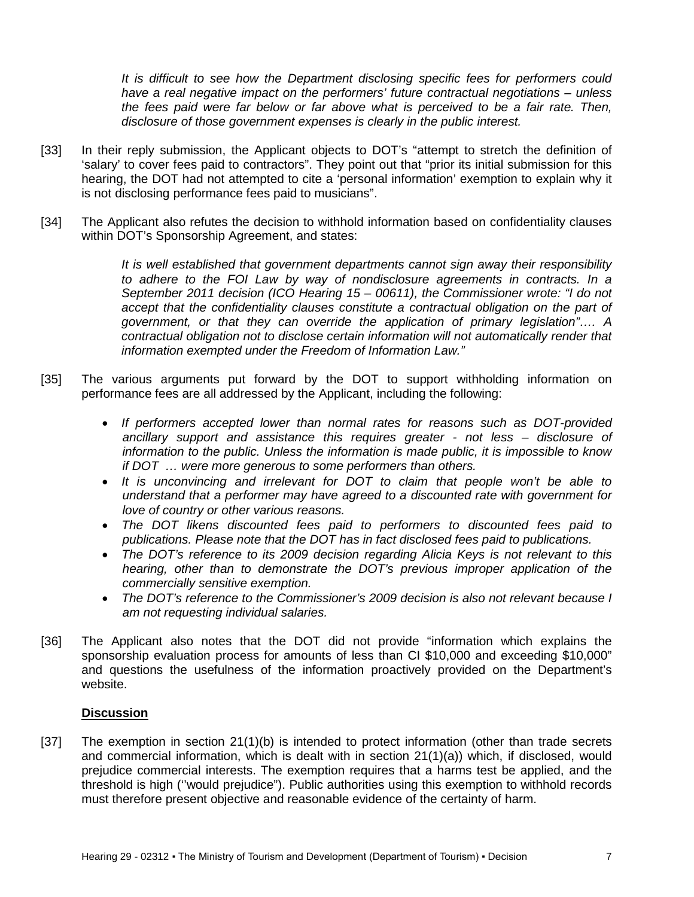*It is difficult to see how the Department disclosing specific fees for performers could have a real negative impact on the performers' future contractual negotiations – unless the fees paid were far below or far above what is perceived to be a fair rate. Then, disclosure of those government expenses is clearly in the public interest.*

- [33] In their reply submission, the Applicant objects to DOT's "attempt to stretch the definition of 'salary' to cover fees paid to contractors". They point out that "prior its initial submission for this hearing, the DOT had not attempted to cite a 'personal information' exemption to explain why it is not disclosing performance fees paid to musicians".
- [34] The Applicant also refutes the decision to withhold information based on confidentiality clauses within DOT's Sponsorship Agreement, and states:

*It is well established that government departments cannot sign away their responsibility*  to adhere to the FOI Law by way of nondisclosure agreements in contracts. In a *September 2011 decision (ICO Hearing 15 – 00611), the Commissioner wrote: "I do not accept that the confidentiality clauses constitute a contractual obligation on the part of government, or that they can override the application of primary legislation"…. A contractual obligation not to disclose certain information will not automatically render that information exempted under the Freedom of Information Law."*

- [35] The various arguments put forward by the DOT to support withholding information on performance fees are all addressed by the Applicant, including the following:
	- *If performers accepted lower than normal rates for reasons such as DOT-provided ancillary support and assistance this requires greater - not less – disclosure of information to the public. Unless the information is made public, it is impossible to know if DOT … were more generous to some performers than others.*
	- *It is unconvincing and irrelevant for DOT to claim that people won't be able to understand that a performer may have agreed to a discounted rate with government for love of country or other various reasons.*
	- *The DOT likens discounted fees paid to performers to discounted fees paid to publications. Please note that the DOT has in fact disclosed fees paid to publications.*
	- *The DOT's reference to its 2009 decision regarding Alicia Keys is not relevant to this hearing, other than to demonstrate the DOT's previous improper application of the commercially sensitive exemption.*
	- *The DOT's reference to the Commissioner's 2009 decision is also not relevant because I am not requesting individual salaries.*
- [36] The Applicant also notes that the DOT did not provide "information which explains the sponsorship evaluation process for amounts of less than CI \$10,000 and exceeding \$10,000" and questions the usefulness of the information proactively provided on the Department's website.

# **Discussion**

[37] The exemption in section 21(1)(b) is intended to protect information (other than trade secrets and commercial information, which is dealt with in section 21(1)(a)) which, if disclosed, would prejudice commercial interests. The exemption requires that a harms test be applied, and the threshold is high (''would prejudice"). Public authorities using this exemption to withhold records must therefore present objective and reasonable evidence of the certainty of harm.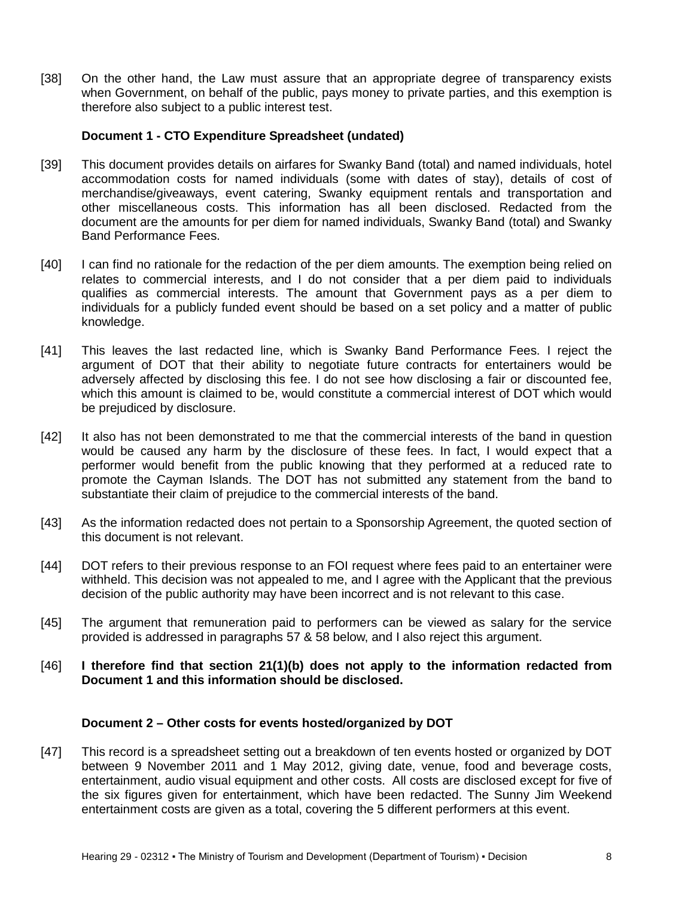[38] On the other hand, the Law must assure that an appropriate degree of transparency exists when Government, on behalf of the public, pays money to private parties, and this exemption is therefore also subject to a public interest test.

#### **Document 1 - CTO Expenditure Spreadsheet (undated)**

- [39] This document provides details on airfares for Swanky Band (total) and named individuals, hotel accommodation costs for named individuals (some with dates of stay), details of cost of merchandise/giveaways, event catering, Swanky equipment rentals and transportation and other miscellaneous costs. This information has all been disclosed. Redacted from the document are the amounts for per diem for named individuals, Swanky Band (total) and Swanky Band Performance Fees.
- [40] I can find no rationale for the redaction of the per diem amounts. The exemption being relied on relates to commercial interests, and I do not consider that a per diem paid to individuals qualifies as commercial interests. The amount that Government pays as a per diem to individuals for a publicly funded event should be based on a set policy and a matter of public knowledge.
- [41] This leaves the last redacted line, which is Swanky Band Performance Fees. I reject the argument of DOT that their ability to negotiate future contracts for entertainers would be adversely affected by disclosing this fee. I do not see how disclosing a fair or discounted fee, which this amount is claimed to be, would constitute a commercial interest of DOT which would be prejudiced by disclosure.
- [42] It also has not been demonstrated to me that the commercial interests of the band in question would be caused any harm by the disclosure of these fees. In fact, I would expect that a performer would benefit from the public knowing that they performed at a reduced rate to promote the Cayman Islands. The DOT has not submitted any statement from the band to substantiate their claim of prejudice to the commercial interests of the band.
- [43] As the information redacted does not pertain to a Sponsorship Agreement, the quoted section of this document is not relevant.
- [44] DOT refers to their previous response to an FOI request where fees paid to an entertainer were withheld. This decision was not appealed to me, and I agree with the Applicant that the previous decision of the public authority may have been incorrect and is not relevant to this case.
- [45] The argument that remuneration paid to performers can be viewed as salary for the service provided is addressed in paragraphs 57 & 58 below, and I also reject this argument.
- [46] **I therefore find that section 21(1)(b) does not apply to the information redacted from Document 1 and this information should be disclosed.**

#### **Document 2 – Other costs for events hosted/organized by DOT**

[47] This record is a spreadsheet setting out a breakdown of ten events hosted or organized by DOT between 9 November 2011 and 1 May 2012, giving date, venue, food and beverage costs, entertainment, audio visual equipment and other costs. All costs are disclosed except for five of the six figures given for entertainment, which have been redacted. The Sunny Jim Weekend entertainment costs are given as a total, covering the 5 different performers at this event.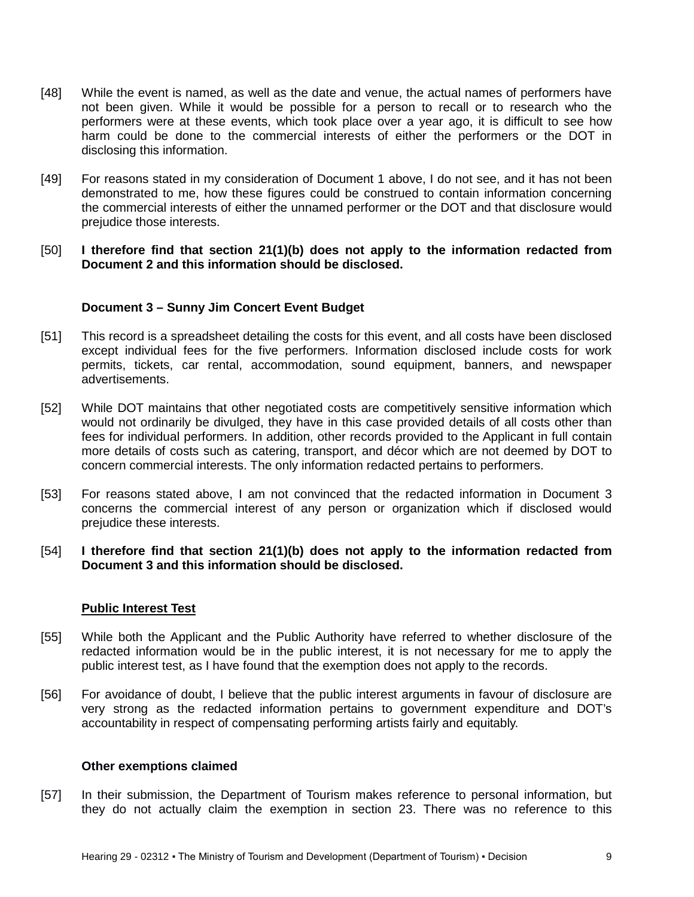- [48] While the event is named, as well as the date and venue, the actual names of performers have not been given. While it would be possible for a person to recall or to research who the performers were at these events, which took place over a year ago, it is difficult to see how harm could be done to the commercial interests of either the performers or the DOT in disclosing this information.
- [49] For reasons stated in my consideration of Document 1 above, I do not see, and it has not been demonstrated to me, how these figures could be construed to contain information concerning the commercial interests of either the unnamed performer or the DOT and that disclosure would prejudice those interests.
- [50] **I therefore find that section 21(1)(b) does not apply to the information redacted from Document 2 and this information should be disclosed.**

#### **Document 3 – Sunny Jim Concert Event Budget**

- [51] This record is a spreadsheet detailing the costs for this event, and all costs have been disclosed except individual fees for the five performers. Information disclosed include costs for work permits, tickets, car rental, accommodation, sound equipment, banners, and newspaper advertisements.
- [52] While DOT maintains that other negotiated costs are competitively sensitive information which would not ordinarily be divulged, they have in this case provided details of all costs other than fees for individual performers. In addition, other records provided to the Applicant in full contain more details of costs such as catering, transport, and décor which are not deemed by DOT to concern commercial interests. The only information redacted pertains to performers.
- [53] For reasons stated above, I am not convinced that the redacted information in Document 3 concerns the commercial interest of any person or organization which if disclosed would prejudice these interests.
- [54] **I therefore find that section 21(1)(b) does not apply to the information redacted from Document 3 and this information should be disclosed.**

#### **Public Interest Test**

- [55] While both the Applicant and the Public Authority have referred to whether disclosure of the redacted information would be in the public interest, it is not necessary for me to apply the public interest test, as I have found that the exemption does not apply to the records.
- [56] For avoidance of doubt, I believe that the public interest arguments in favour of disclosure are very strong as the redacted information pertains to government expenditure and DOT's accountability in respect of compensating performing artists fairly and equitably.

#### **Other exemptions claimed**

[57] In their submission, the Department of Tourism makes reference to personal information, but they do not actually claim the exemption in section 23. There was no reference to this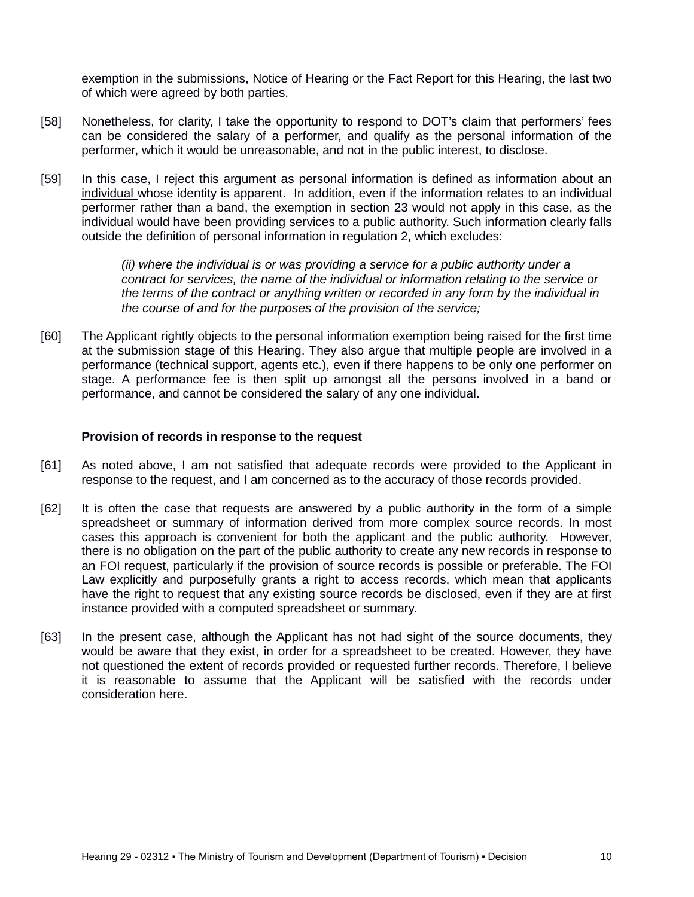exemption in the submissions, Notice of Hearing or the Fact Report for this Hearing, the last two of which were agreed by both parties.

- [58] Nonetheless, for clarity, I take the opportunity to respond to DOT's claim that performers' fees can be considered the salary of a performer, and qualify as the personal information of the performer, which it would be unreasonable, and not in the public interest, to disclose.
- [59] In this case, I reject this argument as personal information is defined as information about an individual whose identity is apparent. In addition, even if the information relates to an individual performer rather than a band, the exemption in section 23 would not apply in this case, as the individual would have been providing services to a public authority. Such information clearly falls outside the definition of personal information in regulation 2, which excludes:

*(ii) where the individual is or was providing a service for a public authority under a contract for services, the name of the individual or information relating to the service or the terms of the contract or anything written or recorded in any form by the individual in the course of and for the purposes of the provision of the service;*

[60] The Applicant rightly objects to the personal information exemption being raised for the first time at the submission stage of this Hearing. They also argue that multiple people are involved in a performance (technical support, agents etc.), even if there happens to be only one performer on stage. A performance fee is then split up amongst all the persons involved in a band or performance, and cannot be considered the salary of any one individual.

#### **Provision of records in response to the request**

- [61] As noted above, I am not satisfied that adequate records were provided to the Applicant in response to the request, and I am concerned as to the accuracy of those records provided.
- [62] It is often the case that requests are answered by a public authority in the form of a simple spreadsheet or summary of information derived from more complex source records. In most cases this approach is convenient for both the applicant and the public authority. However, there is no obligation on the part of the public authority to create any new records in response to an FOI request, particularly if the provision of source records is possible or preferable. The FOI Law explicitly and purposefully grants a right to access records, which mean that applicants have the right to request that any existing source records be disclosed, even if they are at first instance provided with a computed spreadsheet or summary.
- <span id="page-9-0"></span>[63] In the present case, although the Applicant has not had sight of the source documents, they would be aware that they exist, in order for a spreadsheet to be created. However, they have not questioned the extent of records provided or requested further records. Therefore, I believe it is reasonable to assume that the Applicant will be satisfied with the records under consideration here.